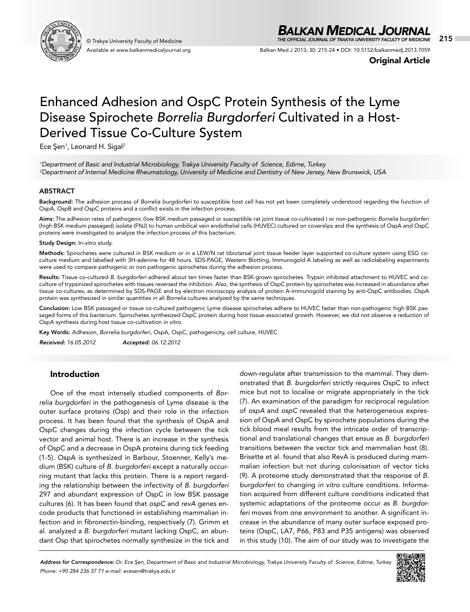

Available at www.balkanmedicaljournal.org

## *BALKAN MEDICAL JOURNAL*

© Trakya University Faculty of Medicine 215 *THE OFFICIAL JOURNAL OF TRAKYA UNIVERSITY FACULTY OF MEDICINE*

Balkan Med J 2013; 30: 215-24 • DOI: 10.5152/balkanmedj.2013.7059

Original Article

# Enhanced Adhesion and OspC Protein Synthesis of the Lyme Disease Spirochete *Borrelia Burgdorferi* Cultivated in a Host-Derived Tissue Co-Culture System

Ece Şen<sup>1</sup>, Leonard H. Sigal<sup>2</sup>

*1 Department of Basic and Industrial Microbiology, Trakya University Faculty of Science, Edirne, Turkey 2 Department of Internal Medicine Rheumatology, University of Medicine and Dentistry of New Jersey, New Brunswick, USA*

## ABSTRACT

Background: The adhesion process of *Borrelia burgdorferi* to susceptible host cell has not yet been completely understood regarding the function of OspA, OspB and OspC proteins and a conflict exists in the infection process.

Aims: The adhesion rates of pathogenic (low BSK medium passaged or susceptible rat joint tissue co-cultivated ) or non-pathogenic *Borrelia burgdorferi* (high BSK medium passaged) isolate (FNJ) to human umbilical vein endothelial cells (HUVEC) cultured on coverslips and the synthesis of OspA and OspC proteins were investigated to analyze the infection process of this bacterium.

#### Study Design: In-vitro study.

Methods: Spirochetes were cultured in BSK medium or in a LEW/N rat tibiotarsal joint tissue feeder layer supported co-culture system using ESG coculture medium and labelled with 3H-adenine for 48 hours. SDS-PAGE, Western Blotting, Immunogold A labeling as well as radiolabeling experiments were used to compare pathogenic or non pathogenic spirochetes during the adhesion process.

Results: Tissue co-cultured *B. burgdorferi* adhered about ten times faster than BSK-grown spirochetes. Trypsin inhibited attachment to HUVEC and coculture of trypsinized spirochetes with tissues reversed the inhibition. Also, the synthesis of OspC protein by spirochetes was increased in abundance after tissue co-cultures, as determined by SDS-PAGE and by electron microscopy analysis of protein A-immunogold staining by anti-OspC antibodies. OspA protein was synthesized in similar quantities in all *Borrelia* cultures analyzed by the same techniques.

Conclusion: Low BSK passaged or tissue co-cultured pathogenic Lyme disease spirochetes adhere to HUVEC faster than non-pathogenic high BSK passaged forms of this bacterium. Spirochetes synthesized OspC protein during host tissue-associated growth. However, we did not observe a reduction of OspA synthesis during host tissue co-cultivation *in vitro.*

Key Words: Adhesion, *Borrelia burgdorferi*, OspA, OspC, pathogenicity, cell culture, HUVEC

*Received: 16.05.2012 Accepted: 06.12.2012*

## Introduction

One of the most intensely studied components of *Borrelia burgdorferi* in the pathogenesis of Lyme disease is the outer surface proteins (Osp) and their role in the infection process. It has been found that the synthesis of OspA and OspC changes during the infection cycle between the tick vector and animal host. There is an increase in the synthesis of OspC and a decrease in OspA proteins during tick feeding (1-5). OspA is synthesized in Barbour, Stoenner, Kelly's medium (BSK) culture of *B. burgdorferi* except a naturally occurring mutant that lacks this protein. There is a report regarding the relationship between the infectivity of *B. burgdorferi* 297 and abundant expression of OspC in low BSK passage cultures (6). It has been found that *ospC* and *revA* genes encode products that functioned in establishing mammalian infection and in fibronectin-binding, respectively (7). Grimm et al. analyzed a *B. burgdorferi* mutant lacking OspC, an abundant Osp that spirochetes normally synthesize in the tick and

down-regulate after transmission to the mammal. They demonstrated that *B. burgdorferi* strictly requires OspC to infect mice but not to localise or migrate appropriately in the tick (7). An examination of the paradigm for reciprocal regulation of *ospA* and *ospC* revealed that the heterogeneous expression of OspA and OspC by spirochete populations during the tick blood meal results from the intricate order of transcriptional and translational changes that ensue as *B. burgdorferi* transitions between the vector tick and mammalian host (8). Brisette et al. found that also RevA is produced during mammalian infection but not during colonisation of vector ticks (9). A proteome study demonstrated that the response of *B. burgdorferi* to changing *in vitro* culture conditions. Information acquired from different culture conditions indicated that systemic adaptations of the proteome occur as *B. burgdorferi* moves from one environment to another. A significant increase in the abundance of many outer surface exposed proteins (OspC, LA7, P66, P83 and P35 antigens) was observed in this study (10). The aim of our study was to investigate the

*Address for Correspondence: Dr. Ece Şen, Department of Basic and Industrial Microbiology, Trakya University Faculty of Science, Edirne, Turkey Phone: +90 284 236 37 71 e-mail: ecesen@trakya.edu.tr*

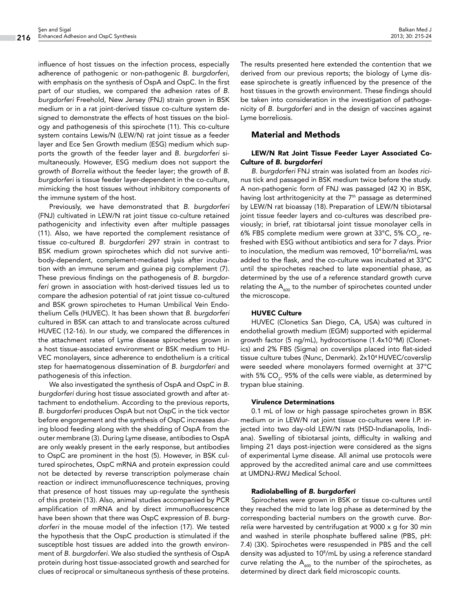influence of host tissues on the infection process, especially adherence of pathogenic or non-pathogenic *B. burgdorferi,*  with emphasis on the synthesis of OspA and OspC*.* In the first part of our studies, we compared the adhesion rates of *B. burgdorferi* Freehold, New Jersey (FNJ) strain grown in BSK medium or in a rat joint-derived tissue co-culture system designed to demonstrate the effects of host tissues on the biology and pathogenesis of this spirochete (11). This co-culture system contains Lewis/N (LEW/N) rat joint tissue as a feeder layer and Ece Sen Growth medium (ESG) medium which supports the growth of the feeder layer and *B. burgdorferi* simultaneously. However, ESG medium does not support the growth of *Borrelia* without the feeder layer; the growth of *B. burgdorferi* is tissue feeder layer-dependent in the co-culture, mimicking the host tissues without inhibitory components of the immune system of the host.

Previously, we have demonstrated that *B. burgdorferi*  (FNJ) cultivated in LEW/N rat joint tissue co-culture retained pathogenicity and infectivity even after multiple passages (11). Also, we have reported the complement resistance of tissue co-cultured *B. burgdorferi* 297 strain in contrast to BSK medium grown spirochetes which did not survive antibody-dependent, complement-mediated lysis after incubation with an immune serum and guinea pig complement (7). These previous findings on the pathogenesis of *B. burgdor*feri grown in association with host-derived tissues led us to compare the adhesion potential of rat joint tissue co-cultured and BSK grown spirochetes to Human Umbilical Vein Endothelium Cells (HUVEC). It has been shown that *B. burgdorferi*  cultured in BSK can attach to and translocate across cultured HUVEC (12-16). In our study, we compared the differences in the attachment rates of Lyme disease spirochetes grown in a host tissue-associated environment or BSK medium to HU-VEC monolayers, since adherence to endothelium is a critical step for haematogenous dissemination of *B. burgdorferi* and pathogenesis of this infection.

We also investigated the synthesis of OspA and OspC in *B. burgdorferi* during host tissue associated growth and after attachment to endothelium. According to the previous reports, *B. burgdorferi* produces OspA but not OspC in the tick vector before engorgement and the synthesis of OspC increases during blood feeding along with the shedding of OspA from the outer membrane (3). During Lyme disease, antibodies to OspA are only weakly present in the early response, but antibodies to OspC are prominent in the host (5). However, in BSK cultured spirochetes, OspC mRNA and protein expression could not be detected by reverse transcription polymerase chain reaction or indirect immunofluorescence techniques, proving that presence of host tissues may up-regulate the synthesis of this protein (13). Also, animal studies accompanied by PCR amplification of mRNA and by direct immunofluorescence have been shown that there was OspC expression of *B. burgdorferi* in the mouse model of the infection (17). We tested the hypothesis that the OspC production is stimulated if the susceptible host tissues are added into the growth environment of *B. burgdorferi.* We also studied the synthesis of OspA protein during host tissue-associated growth and searched for clues of reciprocal or simultaneous synthesis of these proteins.

The results presented here extended the contention that we derived from our previous reports; the biology of Lyme disease spirochete is greatly influenced by the presence of the host tissues in the growth environment. These findings should be taken into consideration in the investigation of pathogenicity of *B. burgdorferi* and in the design of vaccines against Lyme borreliosis.

## Material and Methods

## LEW/N Rat Joint Tissue Feeder Layer Associated Co-Culture of *B. burgdorferi*

*B. burgdorferi* FNJ strain was isolated from an *Ixodes ricinus* tick and passaged in BSK medium twice before the study. A non-pathogenic form of FNJ was passaged (42 X) in BSK, having lost arthritogenicity at the 7<sup>th</sup> passage as determined by LEW/N rat bioassay (18). Preparation of LEW/N tibiotarsal joint tissue feeder layers and co-cultures was described previously; in brief, rat tibiotarsal joint tissue monolayer cells in 6% FBS complete medium were grown at 33°C, 5% CO<sub>2</sub>, refreshed with ESG without antibiotics and sera for 7 days. Prior to inoculation, the medium was removed, 104 borrelia/mL was added to the flask, and the co-culture was incubated at 33°C until the spirochetes reached to late exponential phase, as determined by the use of a reference standard growth curve relating the  $A_{600}$  to the number of spirochetes counted under the microscope.

## HUVEC Culture

HUVEC (Clonetics San Diego, CA, USA) was cultured in endothelial growth medium (EGM) supported with epidermal growth factor (5 ng/mL), hydrocortisone (1.4x10-6M) (Clonetics) and 2% FBS (Sigma) on coverslips placed into flat-sided tissue culture tubes (Nunc, Denmark). 2x104 HUVEC/coverslip were seeded where monolayers formed overnight at 37°C with 5% CO $_{\textrm{\tiny{2}}}$ . 95% of the cells were viable, as determined by trypan blue staining.

## Virulence Determinations

0.1 mL of low or high passage spirochetes grown in BSK medium or in LEW/N rat joint tissue co-cultures were I.P. injected into two day-old LEW/N rats (HSD-Indianapolis, Indiana). Swelling of tibiotarsal joints, difficulty in walking and limping 21 days post-injection were considered as the signs of experimental Lyme disease. All animal use protocols were approved by the accredited animal care and use committees at UMDNJ-RWJ Medical School.

## Radiolabelling of *B. burgdorferi*

Spirochetes were grown in BSK or tissue co-cultures until they reached the mid to late log phase as determined by the corresponding bacterial numbers on the growth curve. *Borrelia* were harvested by centrifugation at 9000 x g for 30 min and washed in sterile phosphate buffered saline (PBS, pH: 7.4) (3X). Spirochetes were resuspended in PBS and the cell density was adjusted to 108 /mL by using a reference standard curve relating the  $A_{600}$  to the number of the spirochetes, as determined by direct dark field microscopic counts.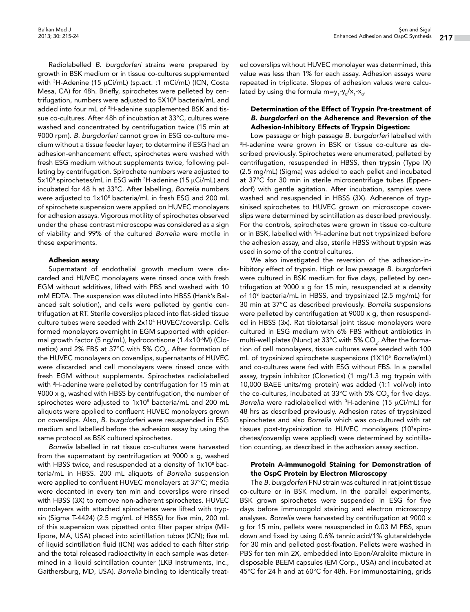Radiolabelled *B. burgdorferi* strains were prepared by growth in BSK medium or in tissue co-cultures supplemented with 3 H-Adenine (15 µCi/mL) (sp.act. :1 mCi/mL) (ICN, Costa Mesa, CA) for 48h. Briefly, spirochetes were pelleted by centrifugation, numbers were adjusted to 5X108 bacteria/mL and added into four mL of 3 H-adenine supplemented BSK and tissue co-cultures. After 48h of incubation at 33°C, cultures were washed and concentrated by centrifugation twice (15 min at 9000 rpm). *B. burgdorferi* cannot grow in ESG co-culture medium without a tissue feeder layer; to determine if ESG had an adhesion-enhancement effect, spirochetes were washed with fresh ESG medium without supplements twice, following pelleting by centrifugation. Spirochete numbers were adjusted to 5x10<sup>8</sup> spirochetes/mL in ESG with <sup>3</sup>H-adenine (15 µCi/mL) and incubated for 48 h at 33°C. After labelling, *Borrelia* numbers were adjusted to 1x10<sup>8</sup> bacteria/mL in fresh ESG and 200 mL of spirochete suspension were applied on HUVEC monolayers for adhesion assays. Vigorous motility of spirochetes observed under the phase contrast microscope was considered as a sign of viability and 99% of the cultured *Borrelia* were motile in these experiments.

#### Adhesion assay

Supernatant of endothelial growth medium were discarded and HUVEC monolayers were rinsed once with fresh EGM without additives, lifted with PBS and washed with 10 mM EDTA. The suspension was diluted into HBSS (Hank's Balanced salt solution), and cells were pelleted by gentle centrifugation at RT. Sterile coverslips placed into flat-sided tissue culture tubes were seeded with 2x104 HUVEC/coverslip. Cells formed monolayers overnight in EGM supported with epidermal growth factor (5 ng/mL), hydrocortisone (1.4x10<sup>-6</sup>M) (Clonetics) and 2% FBS at 37°C with 5% CO $_{\textrm{\tiny{2}}}$ . After formation of the HUVEC monolayers on coverslips, supernatants of HUVEC were discarded and cell monolayers were rinsed once with fresh EGM without supplements. Spirochetes radiolabelled with 3 H-adenine were pelleted by centrifugation for 15 min at 9000 x g, washed with HBSS by centrifugation, the number of spirochetes were adjusted to  $1x10<sup>8</sup>$  bacteria/mL and 200 mL aliquots were applied to confluent HUVEC monolayers grown on coverslips. Also, *B. burgdorferi* were resuspended in ESG medium and labelled before the adhesion assay by using the same protocol as BSK cultured spirochetes.

*Borrelia* labelled in rat tissue co-cultures were harvested from the supernatant by centrifugation at 9000 x g, washed with HBSS twice, and resuspended at a density of  $1x10<sup>8</sup>$  bacteria/mL in HBSS. 200 mL aliquots of *Borrelia* suspension were applied to confluent HUVEC monolayers at 37°C; media were decanted in every ten min and coverslips were rinsed with HBSS (3X) to remove non-adherent spirochetes. HUVEC monolayers with attached spirochetes were lifted with trypsin (Sigma T-4424) (2.5 mg/mL of HBSS) for five min, 200 mL of this suspension was pipetted onto filter paper strips (Millipore, MA, USA) placed into scintillation tubes (ICN); five mL of liquid scintillation fluid (ICN) was added to each filter strip and the total released radioactivity in each sample was determined in a liquid scintillation counter (LKB Instruments, Inc., Gaithersburg, MD, USA). *Borrelia* binding to identically treated coverslips without HUVEC monolayer was determined, this value was less than 1% for each assay. Adhesion assays were repeated in triplicate. Slopes of adhesion values were calculated by using the formula m=y<sub>1</sub>-y<sub>0</sub>/x<sub>1</sub>-x<sub>0</sub>.

## Determination of the Effect of Trypsin Pre-treatment of *B. burgdorferi* on the Adherence and Reversion of the Adhesion-Inhibitory Effects of Trypsin Digestion:

Low passage or high passage *B. burgdorferi* labelled with 3 H-adenine were grown in BSK or tissue co-culture as described previously. Spirochetes were enumerated, pelleted by centrifugation, resuspended in HBSS, then trypsin (Type IX) (2.5 mg/mL) (Sigma) was added to each pellet and incubated at 37°C for 30 min in sterile microcentrifuge tubes (Eppendorf) with gentle agitation. After incubation, samples were washed and resuspended in HBSS (3X). Adherence of trypsinised spirochetes to HUVEC grown on microscope coverslips were determined by scintillation as described previously. For the controls, spirochetes were grown in tissue co-culture or in BSK, labelled with 3 H-adenine but not trypsinized before the adhesion assay, and also, sterile HBSS without trypsin was used in some of the control cultures.

We also investigated the reversion of the adhesion-inhibitory effect of trypsin. High or low passage *B. burgdorferi*  were cultured in BSK medium for five days, pelleted by centrifugation at 9000 x g for 15 min, resuspended at a density of 108 bacteria/mL in HBSS, and trypsinized (2.5 mg/mL) for 30 min at 37°C as described previously. *Borrelia* suspensions were pelleted by centrifugation at 9000 x g, then resuspended in HBSS (3x). Rat tibiotarsal joint tissue monolayers were cultured in ESG medium with 6% FBS without antibiotics in multi-well plates (Nunc) at 33°C with 5% CO $_{\rm 2}$ . After the formation of cell monolayers, tissue cultures were seeded with 100 mL of trypsinized spirochete suspensions (1X105 *Borrelia*/mL) and co-cultures were fed with ESG without FBS. In a parallel assay, trypsin inhibitor (Clonetics) (1 mg/1.3 mg trypsin with 10,000 BAEE units/mg protein) was added (1:1 vol/vol) into the co-cultures, incubated at 33°C with 5% CO<sub>2</sub> for five days. *Borrelia* were radiolabelled with 3 H-adenine (15 µCi/mL) for 48 hrs as described previously. Adhesion rates of trypsinized spirochetes and also *Borrelia* which was co-cultured with rat tissues post-trypsinization to HUVEC monolayers (107 spirochetes/coverslip were applied) were determined by scintillation counting, as described in the adhesion assay section.

## Protein A-immunogold Staining for Demonstration of the OspC Protein by Electron Microscopy

The *B. burgdorferi* FNJ strain was cultured in rat joint tissue co-culture or in BSK medium. In the parallel experiments, BSK grown spirochetes were suspended in ESG for five days before immunogold staining and electron microscopy analyses. *Borrelia* were harvested by centrifugation at 9000 x g for 15 min, pellets were resuspended in 0.03 M PBS, spun down and fixed by using 0.6% tannic acid/1% glutaraldehyde for 30 min and pelleted post-fixation. Pellets were washed in PBS for ten min 2X, embedded into Epon/Araldite mixture in disposable BEEM capsules (EM Corp., USA) and incubated at 45°C for 24 h and at 60°C for 48h. For immunostaining, grids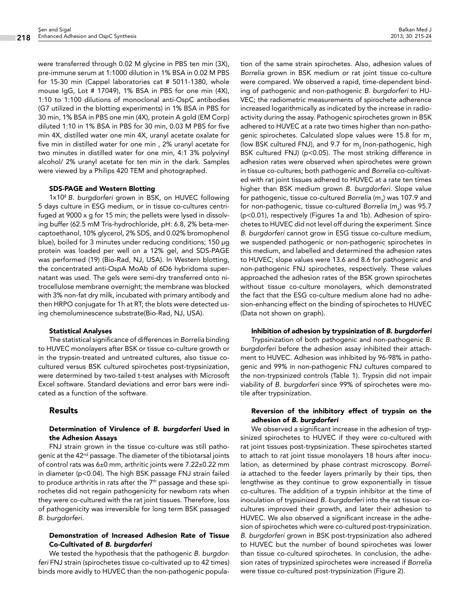were transferred through 0.02 M glycine in PBS ten min (3X), pre-immune serum at 1:1000 dilution in 1% BSA in 0.02 M PBS for 15-30 min (Cappel laboratories cat # 5011-1380, whole mouse IgG, Lot # 17049), 1% BSA in PBS for one min (4X), 1:10 to 1:100 dilutions of monoclonal anti-OspC antibodies (G7 utilized in the blotting experiments) in 1% BSA in PBS for 30 min, 1% BSA in PBS one min (4X), protein A gold (EM Corp) diluted 1:10 in 1% BSA in PBS for 30 min, 0.03 M PBS for five min 4X, distilled water one min 4X, uranyl acetate oxalate for five min in distilled water for one min , 2% uranyl acetate for two minutes in distilled water for one min, 4:1 3% polyvinyl alcohol/ 2% uranyl acetate for ten min in the dark. Samples were viewed by a Philips 420 TEM and photographed.

#### SDS-PAGE and Western Blotting

1x108 *B. burgdorferi* grown in BSK, on HUVEC following 5 days culture in ESG medium, or in tissue co-cultures centrifuged at 9000 x g for 15 min; the pellets were lysed in dissolving buffer (62.5 mM Tris-hydrochloride, pH: 6.8, 2% beta-mercaptoethanol, 10% glycerol, 2% SDS, and 0.02% bromophenol blue), boiled for 3 minutes under reducing conditions; 150 μg protein was loaded per well on a 12% gel, and SDS-PAGE was performed (19) (Bio-Rad, NJ, USA). In Western blotting, the concentrated anti-OspA MoAb of 6D6 hybridoma supernatant was used. The gels were semi-dry transferred onto nitrocellulose membrane overnight; the membrane was blocked with 3% non-fat dry milk, incubated with primary antibody and then HRPO conjugate for 1h at RT; the blots were detected using chemoluminescence substrate(Bio-Rad, NJ, USA).

#### Statistical Analyses

The statistical significance of differences in *Borrelia* binding to HUVEC monolayers after BSK or tissue co-culture growth or in the trypsin-treated and untreated cultures, also tissue cocultured versus BSK cultured spirochetes post-trypsinization, were determined by two-tailed t-test analyses with Microsoft Excel software. Standard deviations and error bars were indicated as a function of the software.

## Results

## Determination of Virulence of *B. burgdorferi* Used in the Adhesion Assays

FNJ strain grown in the tissue co-culture was still pathogenic at the 42<sup>nd</sup> passage. The diameter of the tibiotarsal joints of control rats was 6±0 mm, arthritic joints were 7.22±0.22 mm in diameter (p<0.04). The high BSK passage FNJ strain failed to produce arthritis in rats after the  $7<sup>th</sup>$  passage and these spirochetes did not regain pathogenicity for newborn rats when they were co-cultured with the rat joint tissues. Therefore, loss of pathogenicity was irreversible for long term BSK passaged *B. burgdorferi.*

## Demonstration of Increased Adhesion Rate of Tissue Co-Cultivated of *B. burgdorferi*

We tested the hypothesis that the pathogenic *B. burgdorferi* FNJ strain (spirochetes tissue co-cultivated up to 42 times) binds more avidly to HUVEC than the non-pathogenic popula-

tion of the same strain spirochetes. Also, adhesion values of *Borrelia* grown in BSK medium or rat joint tissue co-culture were compared. We observed a rapid, time-dependent binding of pathogenic and non-pathogenic *B. burgdorferi* to HU-VEC; the radiometric measurements of spirochete adherence increased logarithmically as indicated by the increase in radioactivity during the assay. Pathogenic spirochetes grown in BSK adhered to HUVEC at a rate two times higher than non-pathogenic spirochetes. Calculated slope values were 15.8 for m. (low BSK cultured FNJ), and 9.7 for  $m<sub>2</sub>$  (non-pathogenic, high BSK cultured FNJ) (p<0.05). The most striking difference in adhesion rates were observed when spirochetes were grown in tissue co-cultures; both pathogenic and *Borrelia* co-cultivated with rat joint tissues adhered to HUVEC at a rate ten times higher than BSK medium grown *B. burgdorferi.* Slope value for pathogenic, tissue co-cultured *Borrelia* (m<sub>3</sub>) was 107.9 and for non-pathogenic, tissue co-cultured *Borrelia* (m<sub>4</sub>) was 95.7 (p<0.01), respectively (Figures 1a and 1b). Adhesion of spirochetes to HUVEC did not level off during the experiment. Since *B. burgdorferi* cannot grow in ESG tissue co-culture medium, we suspended pathogenic or non-pathogenic spirochetes in this medium, and labelled and determined the adhesion rates to HUVEC; slope values were 13.6 and 8.6 for pathogenic and non-pathogenic FNJ spirochetes, respectively. These values approached the adhesion rates of the BSK grown spirochetes without tissue co-culture monolayers, which demonstrated the fact that the ESG co-culture medium alone had no adhesion-enhancing effect on the binding of spirochetes to HUVEC (Data not shown on graph).

## Inhibition of adhesion by trypsinization of *B. burgdorferi*

Trypsinization of both pathogenic and non-pathogenic *B. burgdorferi* before the adhesion assay inhibited their attachment to HUVEC. Adhesion was inhibited by 96-98% in pathogenic and 99% in non-pathogenic FNJ cultures compared to the non-trypsinized controls (Table 1). Trypsin did not impair viability of *B. burgdorferi* since 99% of spirochetes were motile after trypsinization.

## Reversion of the inhibitory effect of trypsin on the adhesion of *B. burgdorferi*

We observed a significant increase in the adhesion of trypsinized spirochetes to HUVEC if they were co-cultured with rat joint tissues post-trypsinization. These spirochetes started to attach to rat joint tissue monolayers 18 hours after inoculation, as determined by phase contrast microscopy. *Borrelia* attached to the feeder layers primarily by their tips, then lengthwise as they continue to grow exponentially in tissue co-cultures. The addition of a trypsin inhibitor at the time of inoculation of trypsinized *B. burgdorferi* into the rat tissue cocultures improved their growth, and later their adhesion to HUVEC. We also observed a significant increase in the adhesion of spirochetes which were co-cultured post-trypsinization. *B. burgdorferi* grown in BSK post-trypsinization also adhered to HUVEC but the number of bound spirochetes was lower than tissue co-cultured spirochetes. In conclusion, the adhesion rates of trypsinized spirochetes were increased if *Borrelia*  were tissue co-cultured post-trypsinization (Figure 2).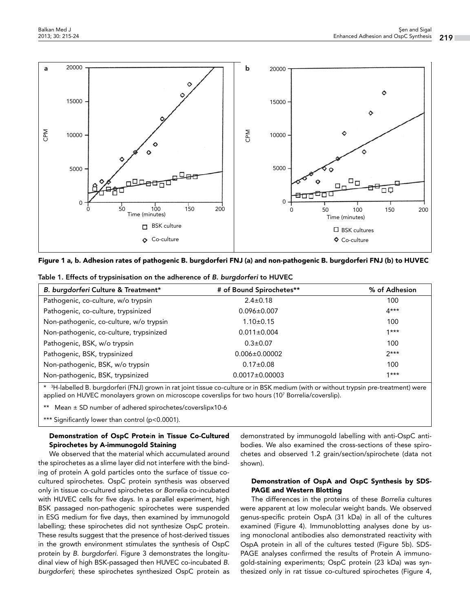

| Figure 1 a, b. Adhesion rates of pathogenic B. burgdorferi FNJ (a) and non-pathogenic B. burgdorferi FNJ (b) to HUVEC |  |  |  |  |  |  |  |  |  |  |  |  |  |  |  |  |  |  |  |  |  |  |  |  |  |  |  |  |  |  |  |  |  |  |  |
|-----------------------------------------------------------------------------------------------------------------------|--|--|--|--|--|--|--|--|--|--|--|--|--|--|--|--|--|--|--|--|--|--|--|--|--|--|--|--|--|--|--|--|--|--|--|
|-----------------------------------------------------------------------------------------------------------------------|--|--|--|--|--|--|--|--|--|--|--|--|--|--|--|--|--|--|--|--|--|--|--|--|--|--|--|--|--|--|--|--|--|--|--|

| B. burgdorferi Culture & Treatment*     | # of Bound Spirochetes** | % of Adhesion |  |  |  |  |  |  |  |
|-----------------------------------------|--------------------------|---------------|--|--|--|--|--|--|--|
| Pathogenic, co-culture, w/o trypsin     | $2.4 \pm 0.18$           | 100           |  |  |  |  |  |  |  |
| Pathogenic, co-culture, trypsinized     | $0.096 \pm 0.007$        | $4***$        |  |  |  |  |  |  |  |
| Non-pathogenic, co-culture, w/o trypsin | $1.10 \pm 0.15$          | 100           |  |  |  |  |  |  |  |
| Non-pathogenic, co-culture, trypsinized | $0.011 \pm 0.004$        | $1***$        |  |  |  |  |  |  |  |
| Pathogenic, BSK, w/o trypsin            | $0.3 \pm 0.07$           | 100           |  |  |  |  |  |  |  |

Table 1. Effects of trypsinisation on the adherence of *B. burgdorferi* to HUVEC

\* 3 H-labelled B. burgdorferi (FNJ) grown in rat joint tissue co-culture or in BSK medium (with or without trypsin pre-treatment) were applied on HUVEC monolayers grown on microscope coverslips for two hours (107 Borrelia/coverslip).

Pathogenic, BSK, trypsinized  $0.006\pm0.00002$  2\*\*\* Non-pathogenic, BSK, w/o trypsin 100 and the control of  $0.17\pm0.08$  100 Non-pathogenic, BSK, trypsinized 1\*\*\*<br>0.0017±0.00003

Mean  $\pm$  SD number of adhered spirochetes/coverslipx10-6

\*\*\* Significantly lower than control (p<0.0001).

## Demonstration of OspC Protein in Tissue Co-Cultured Spirochetes by A-immunogold Staining

We observed that the material which accumulated around the spirochetes as a slime layer did not interfere with the binding of protein A gold particles onto the surface of tissue cocultured spirochetes. OspC protein synthesis was observed only in tissue co-cultured spirochetes or *Borrelia* co-incubated with HUVEC cells for five days. In a parallel experiment, high BSK passaged non-pathogenic spirochetes were suspended in ESG medium for five days, then examined by immunogold labelling; these spirochetes did not synthesize OspC protein. These results suggest that the presence of host-derived tissues in the growth environment stimulates the synthesis of OspC protein by *B. burgdorferi.* Figure 3 demonstrates the longitudinal view of high BSK-passaged then HUVEC co-incubated *B. burgdorferi*; these spirochetes synthesized OspC protein as

demonstrated by immunogold labelling with anti-OspC antibodies. We also examined the cross-sections of these spirochetes and observed 1.2 grain/section/spirochete (data not shown).

## Demonstration of OspA and OspC Synthesis by SDS-PAGE and Western Blotting

The differences in the proteins of these *Borrelia* cultures were apparent at low molecular weight bands. We observed genus-specific protein OspA (31 kDa) in all of the cultures examined (Figure 4). Immunoblotting analyses done by using monoclonal antibodies also demonstrated reactivity with OspA protein in all of the cultures tested (Figure 5b). SDS-PAGE analyses confirmed the results of Protein A immunogold-staining experiments; OspC protein (23 kDa) was synthesized only in rat tissue co-cultured spirochetes (Figure 4,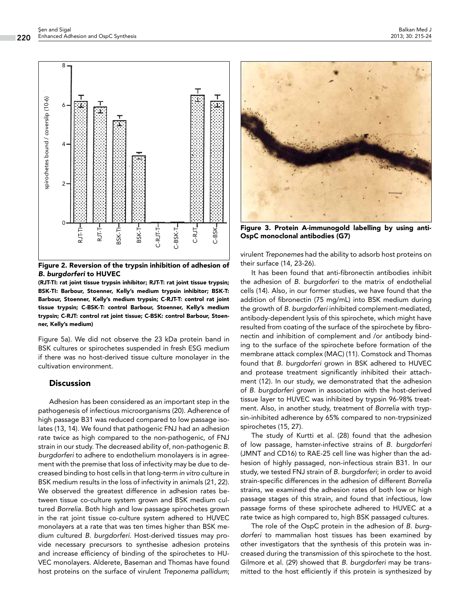

Figure 2. Reversion of the trypsin inhibition of adhesion of *B. burgdorferi* to HUVEC

(RJT-TI: rat joint tissue trypsin inhibitor; RJT-T: rat joint tissue trypsin; BSK-TI: Barbour, Stoenner, Kelly's medium trypsin inhibitor; BSK-T: Barbour, Stoenner, Kelly's medium trypsin; C-RJT-T: control rat joint tissue trypsin; C-BSK-T: control Barbour, Stoenner, Kelly's medium trypsin; C-RJT: control rat joint tissue; C-BSK: control Barbour, Stoenner, Kelly's medium)

Figure 5a). We did not observe the 23 kDa protein band in BSK cultures or spirochetes suspended in fresh ESG medium if there was no host-derived tissue culture monolayer in the cultivation environment.

## **Discussion**

Adhesion has been considered as an important step in the pathogenesis of infectious microorganisms (20). Adherence of high passage B31 was reduced compared to low passage isolates (13, 14). We found that pathogenic FNJ had an adhesion rate twice as high compared to the non-pathogenic, of FNJ strain in our study. The decreased ability of, non-pathogenic *B. burgdorferi* to adhere to endothelium monolayers is in agreement with the premise that loss of infectivity may be due to decreased binding to host cells in that long-term *in vitro* culture in BSK medium results in the loss of infectivity in animals (21, 22). We observed the greatest difference in adhesion rates between tissue co-culture system grown and BSK medium cultured *Borrelia.* Both high and low passage spirochetes grown in the rat joint tissue co-culture system adhered to HUVEC monolayers at a rate that was ten times higher than BSK medium cultured *B. burgdorferi.* Host-derived tissues may provide necessary precursors to synthesise adhesion proteins and increase efficiency of binding of the spirochetes to HU-VEC monolayers. Alderete, Baseman and Thomas have found host proteins on the surface of virulent *Treponema pallidum*;



Figure 3. Protein A-immunogold labelling by using anti-OspC monoclonal antibodies (G7)

virulent *Treponemes* had the ability to adsorb host proteins on their surface (14, 23-26).

It has been found that anti-fibronectin antibodies inhibit the adhesion of *B. burgdorferi* to the matrix of endothelial cells (14). Also, in our former studies, we have found that the addition of fibronectin (75 mg/mL) into BSK medium during the growth of *B. burgdorferi* inhibited complement-mediated, antibody-dependent lysis of this spirochete, which might have resulted from coating of the surface of the spirochete by fibronectin and inhibition of complement and /or antibody binding to the surface of the spirochete before formation of the membrane attack complex (MAC) (11). Comstock and Thomas found that *B. burgdorferi* grown in BSK adhered to HUVEC and protease treatment significantly inhibited their attachment (12). In our study, we demonstrated that the adhesion of *B. burgdorferi* grown in association with the host-derived tissue layer to HUVEC was inhibited by trypsin 96-98% treatment. Also, in another study, treatment of *Borrelia* with trypsin-inhibited adherence by 65% compared to non-trypsinized spirochetes (15, 27).

The study of Kurtti et al. (28) found that the adhesion of low passage, hamster-infective strains of *B. burgdorferi*  (JMNT and CD16) to RAE-25 cell line was higher than the adhesion of highly passaged, non-infectious strain B31. In our study, we tested FNJ strain of *B. burgdorferi*; in order to avoid strain-specific differences in the adhesion of different *Borrelia*  strains, we examined the adhesion rates of both low or high passage stages of this strain*,* and found that infectious, low passage forms of these spirochete adhered to HUVEC at a rate twice as high compared to, high BSK passaged cultures.

The role of the OspC protein in the adhesion of *B. burgdorferi* to mammalian host tissues has been examined by other investigators that the synthesis of this protein was increased during the transmission of this spirochete to the host. Gilmore et al. (29) showed that *B. burgdorferi* may be transmitted to the host efficiently if this protein is synthesized by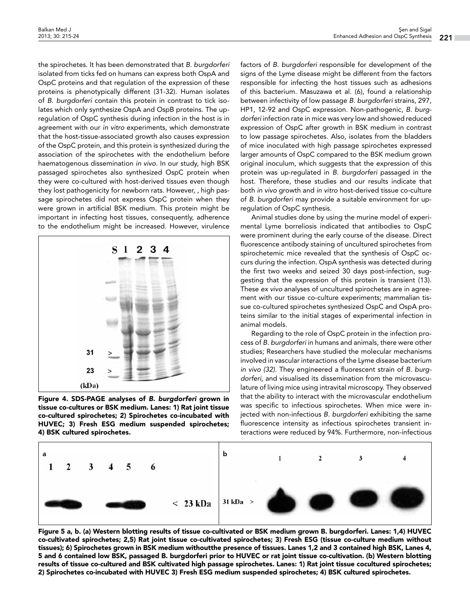the spirochetes. It has been demonstrated that *B. burgdorferi*  isolated from ticks fed on humans can express both OspA and OspC proteins and that regulation of the expression of these proteins is phenotypically different (31-32). Human isolates of *B. burgdorferi* contain this protein in contrast to tick isolates which only synthesize OspA and OspB proteins. The upregulation of OspC synthesis during infection in the host is in agreement with our *in vitro* experiments, which demonstrate that the host-tissue-associated growth also causes expression of the OspC protein, and this protein is synthesized during the association of the spirochetes with the endothelium before haematogenous dissemination *in vivo*. In our study, high BSK passaged spirochetes also synthesized OspC protein when they were co-cultured with host-derived tissues even though they lost pathogenicity for newborn rats. However, , high passage spirochetes did not express OspC protein when they were grown in artificial BSK medium. This protein might be important in infecting host tissues, consequently, adherence to the endothelium might be increased. However, virulence



Figure 4. SDS-PAGE analyses of *B. burgdorferi* grown in tissue co-cultures or BSK medium. Lanes: 1) Rat joint tissue co-cultured spirochetes; 2) Spirochetes co-incubated with HUVEC; 3) Fresh ESG medium suspended spirochetes; 4) BSK cultured spirochetes.

factors of *B. burgdorferi* responsible for development of the signs of the Lyme disease might be different from the factors responsible for infecting the host tissues such as adhesions of this bacterium. Masuzawa et al. (6)*,* found a relationship between infectivity of low passage *B. burgdorferi* strains, 297, HP1, 12-92 and OspC expression. Non-pathogenic, *B. burgdorferi* infection rate in mice was very low and showed reduced expression of OspC after growth in BSK medium in contrast to low passage spirochetes. Also, isolates from the bladders of mice inoculated with high passage spirochetes expressed larger amounts of OspC compared to the BSK medium grown original inoculum, which suggests that the expression of this protein was up-regulated in *B. burgdorferi* passaged in the host. Therefore, these studies and our results indicate that both *in vivo* growth and *in vitro* host-derived tissue co-culture of *B. burgdorferi* may provide a suitable environment for upregulation of OspC synthesis.

Animal studies done by using the murine model of experimental Lyme borreliosis indicated that antibodies to OspC were prominent during the early course of the disease. Direct fluorescence antibody staining of uncultured spirochetes from spirochetemic mice revealed that the synthesis of OspC occurs during the infection. OspA synthesis was detected during the first two weeks and seized 30 days post-infection, suggesting that the expression of this protein is transient (13). These *ex vivo* analyses of uncultured spirochetes are in agreement with our tissue co-culture experiments; mammalian tissue co-cultured spirochetes synthesized OspC and OspA proteins similar to the initial stages of experimental infection in animal models.

Regarding to the role of OspC protein in the infection process of *B. burgdorferi* in humans and animals, there were other studies; Researchers have studied the molecular mechanisms involved in vascular interactions of the Lyme disease bacterium *in vivo (32)*. They engineered a fluorescent strain of *B. burgdorferi,* and visualised its dissemination from the microvasculature of living mice using intravital microscopy. They observed that the ability to interact with the microvascular endothelium was specific to infectious spirochetes. When mice were injected with non-infectious *B. burgdorferi* exhibiting the same fluorescence intensity as infectious spirochetes transient interactions were reduced by 94%. Furthermore, non-infectious



Figure 5 a, b. (a) Western blotting results of tissue co-cultivated or BSK medium grown B. burgdorferi. Lanes: 1,4) HUVEC co-cultivated spirochetes; 2,5) Rat joint tissue co-cultivated spirochetes; 3) Fresh ESG (tissue co-culture medium without tissues); 6) Spirochetes grown in BSK medium withoutthe presence of tissues. Lanes 1,2 and 3 contained high BSK, Lanes 4, 5 and 6 contained low BSK, passaged B. burgdorferi prior to HUVEC or rat joint tissue co-cultivation. (b) Western blotting results of tissue co-cultured and BSK cultivated high passage spirochetes. Lanes: 1) Rat joint tissue cocultured spirochetes; 2) Spirochetes co-incubated with HUVEC 3) Fresh ESG medium suspended spirochetes; 4) BSK cultured spirochetes.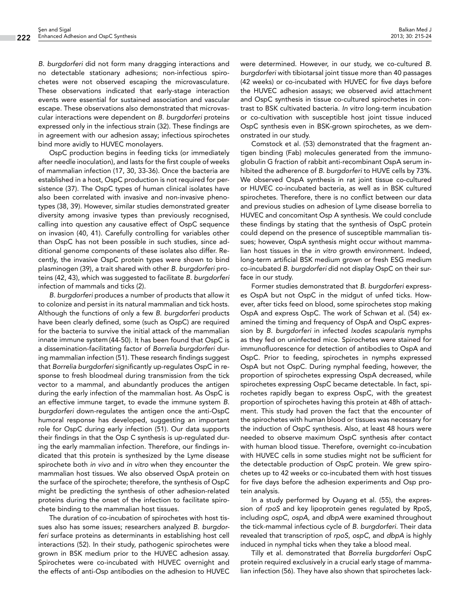*B. burgdorferi* did not form many dragging interactions and no detectable stationary adhesions; non-infectious spirochetes were not observed escaping the microvasculature. These observations indicated that early-stage interaction events were essential for sustained association and vascular escape. These observations also demonstrated that microvascular interactions were dependent on *B. burgdorferi* proteins expressed only in the infectious strain (32). These findings are in agreement with our adhesion assay; infectious spirochetes bind more avidly to HUVEC monolayers.

OspC production begins in feeding ticks (or immediately after needle inoculation), and lasts for the first couple of weeks of mammalian infection (17, 30, 33-36). Once the bacteria are established in a host, OspC production is not required for persistence (37). The OspC types of human clinical isolates have also been correlated with invasive and non-invasive phenotypes (38, 39). However, similar studies demonstrated greater diversity among invasive types than previously recognised, calling into question any causative effect of OspC sequence on invasion (40, 41). Carefully controlling for variables other than OspC has not been possible in such studies, since additional genome components of these isolates also differ. Recently, the invasive OspC protein types were shown to bind plasminogen (39), a trait shared with other *B. burgdorferi* proteins (42, 43), which was suggested to facilitate *B. burgdorferi* infection of mammals and ticks (2).

*B. burgdorferi* produces a number of products that allow it to colonize and persist in its natural mammalian and tick hosts. Although the functions of only a few *B. burgdorferi* products have been clearly defined, some (such as OspC) are required for the bacteria to survive the initial attack of the mammalian innate immune system (44-50). It has been found that OspC is a dissemination-facilitating factor of *Borrelia burgdorferi* during mammalian infection (51). These research findings suggest that *Borrelia burgdorferi* significantly up-regulates OspC in response to fresh bloodmeal during transmission from the tick vector to a mammal, and abundantly produces the antigen during the early infection of the mammalian host. As OspC is an effective immune target, to evade the immune system *B. burgdorferi* down-regulates the antigen once the anti-OspC humoral response has developed, suggesting an important role for OspC during early infection (51). Our data supports their findings in that the Osp C synthesis is up-regulated during the early mammalian infection. Therefore, our findings indicated that this protein is synthesized by the Lyme disease spirochete both *in vivo* and *in vitro* when they encounter the mammalian host tissues. We also observed OspA protein on the surface of the spirochete; therefore, the synthesis of OspC might be predicting the synthesis of other adhesion-related proteins during the onset of the infection to facilitate spirochete binding to the mammalian host tissues.

The duration of co-incubation of spirochetes with host tissues also has some issues; researchers analyzed *B. burgdorferi* surface proteins as determinants in establishing host cell interactions (52). In their study, pathogenic spirochetes were grown in BSK medium prior to the HUVEC adhesion assay. Spirochetes were co-incubated with HUVEC overnight and the effects of anti-Osp antibodies on the adhesion to HUVEC were determined. However, in our study, we co-cultured *B. burgdorferi* with tibiotarsal joint tissue more than 40 passages (42 weeks) or co-incubated with HUVEC for five days before the HUVEC adhesion assays; we observed avid attachment and OspC synthesis in tissue co-cultured spirochetes in contrast to BSK cultivated bacteria. *In vitro* long-term incubation or co-cultivation with susceptible host joint tissue induced OspC synthesis even in BSK-grown spirochetes, as we demonstrated in our study.

Comstock et al. (53) demonstrated that the fragment antigen binding (Fab) molecules generated from the immunoglobulin G fraction of rabbit anti-recombinant OspA serum inhibited the adherence of *B. burgdorferi* to HUVE cells by 73%. We observed OspA synthesis in rat joint tissue co-cultured or HUVEC co-incubated bacteria, as well as in BSK cultured spirochetes. Therefore, there is no conflict between our data and previous studies on adhesion of Lyme disease borrelia to HUVEC and concomitant Osp A synthesis. We could conclude these findings by stating that the synthesis of OspC protein could depend on the presence of susceptible mammalian tissues; however, OspA synthesis might occur without mammalian host tissues in the *in vitro* growth environment. Indeed, long-term artificial BSK medium grown or fresh ESG medium co-incubated *B. burgdorferi* did not display OspC on their surface in our study.

Former studies demonstrated that *B. burgdorferi* expresses OspA but not OspC in the midgut of unfed ticks. However, after ticks feed on blood, some spirochetes stop making OspA and express OspC. The work of Schwan et al. (54) examined the timing and frequency of OspA and OspC expression by *B. burgdorferi* in infected *Ixodes scapularis* nymphs as they fed on uninfected mice. Spirochetes were stained for immunofluorescence for detection of antibodies to OspA and OspC. Prior to feeding, spirochetes in nymphs expressed OspA but not OspC. During nymphal feeding, however, the proportion of spirochetes expressing OspA decreased, while spirochetes expressing OspC became detectable. In fact, spirochetes rapidly began to express OspC, with the greatest proportion of spirochetes having this protein at 48h of attachment. This study had proven the fact that the encounter of the spirochetes with human blood or tissues was necessary for the induction of OspC synthesis. Also, at least 48 hours were needed to observe maximum OspC synthesis after contact with human blood tissue. Therefore, overnight co-incubation with HUVEC cells in some studies might not be sufficient for the detectable production of OspC protein. We grew spirochetes up to 42 weeks or co-incubated them with host tissues for five days before the adhesion experiments and Osp protein analysis.

In a study performed by Ouyang et al. (55), the expression of *rpoS* and key lipoprotein genes regulated by RpoS, including *ospC*, *ospA*, and *dbpA* were examined throughout the tick-mammal infectious cycle of *B. burgdorferi*. Their data revealed that transcription of *rpoS*, *ospC*, and *dbpA* is highly induced in nymphal ticks when they take a blood meal.

Tilly et al. demonstrated that *Borrelia burgdorferi* OspC protein required exclusively in a crucial early stage of mammalian infection (56). They have also shown that spirochetes lack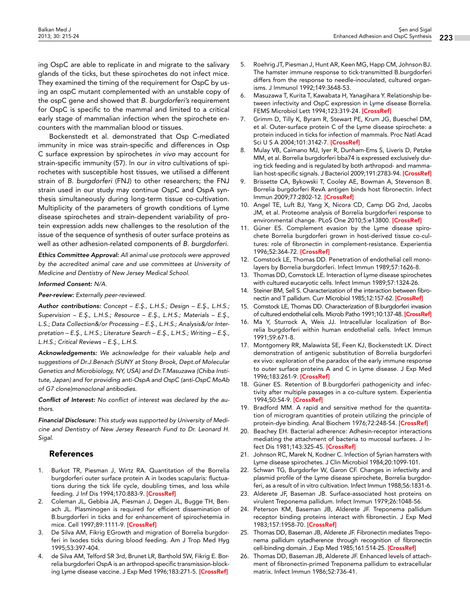ing OspC are able to replicate in and migrate to the salivary glands of the ticks, but these spirochetes do not infect mice. They examined the timing of the requirement for OspC by using an ospC mutant complemented with an unstable copy of the ospC gene and showed that *B. burgdorferi's* requirement for OspC is specific to the mammal and limited to a critical early stage of mammalian infection when the spirochete encounters with the mammalian blood or tissues.

Bockenstedt et al. demonstrated that Osp C-mediated immunity in mice was strain-specific and differences in Osp C surface expression by spirochetes *in vivo* may account for strain-specific immunity (57). In our *in vitro* cultivations of spirochetes with susceptible host tissues, we utilised a different strain of *B. burgdorferi* (FNJ) to other researchers; the FNJ strain used in our study may continue OspC and OspA synthesis simultaneously during long-term tissue co-cultivation. Multiplicity of the parameters of growth conditions of Lyme disease spirochetes and strain-dependent variability of protein expression adds new challenges to the resolution of the issue of the sequence of synthesis of outer surface proteins as well as other adhesion-related components of *B. burgdorferi*.

*Ethics Committee Approval: All animal use protocols were approved by the accredited animal care and use committees at University of Medicine and Dentistry of New Jersey Medical School.*

*Informed Consent: N/A.*

*Peer-review: Externally peer-reviewed.*

*Author contributions: Concept – E.Ş., L.H.S.; Design – E.Ş., L.H.S.; Supervision – E.Ş., L.H.S.; Resource – E.Ş., L.H.S.; Materials – E.Ş., L.S.; Data Collection&/or Processing – E.Ş., L.H.S.; Analysis&/or Interpretation – E.Ş., L.H.S.; Literature Search – E.Ş., L.H.S.; Writing – E.Ş., L.H.S.; Critical Reviews – E.Ş., L.H.S.*

*Acknowledgements: We acknowledge for their valuable help and suggestions of Dr.J.Benach (SUNY at Stony Brook, Dept.of Molecular Genetics and Microbiology, NY, USA) and Dr.T.Masuzawa (Chiba Institute, Japan) and for providing anti-OspA and OspC (anti-OspC MoAb of G7 clone)monoclonal antibodies.*

*Conflict of Interest: No conflict of interest was declared by the authors.*

*Financial Disclosure: This study was supported by University of Medicine and Dentistry of New Jersey Research Fund to Dr. Leonard H. Sigal.*

## References

- 1. Burkot TR, Piesman J, Wirtz RA. Quantitation of the Borrelia burgdorferi outer surface protein A in Ixodes scapularis: fluctuations during the tick life cycle, doubling times, and loss while feeding. J Inf Dis 1994;170:883-9. [\[CrossRef\]](http://dx.doi.org/10.1093/infdis/170.4.883)
- 2. Coleman JL, Gebbia JA, Piesman J, Degen JL, Bugge TH, Benach JL. Plasminogen is required for efficient dissemination of B.burgdorferi in ticks and for enhancement of spirochetemia in mice. Cell 1997;89:1111-9. [\[CrossRef\]](http://dx.doi.org/10.1016/S0092-8674(00)80298-6)
- De Silva AM, Fikrig EGrowth and migration of Borrelia burgdorferi in Ixodes ticks during blood feeding. Am J Trop Med Hyg 1995;53:397-404.
- 4. de Silva AM, Telford SR 3rd, Brunet LR, Barthold SW, Fikrig E. Borrelia burgdorferi OspA is an arthropod-specific transmission-block-ing Lyme disease vaccine. J Exp Med 1996;183:271-5. [\[CrossRef](http://dx.doi.org/10.1084/jem.183.1.271)]
- 5. Roehrig JT, Piesman J, Hunt AR, Keen MG, Happ CM, Johnson BJ. The hamster immune response to tick-transmitted B.burgdorferi differs from the response to needle-inoculated, cultured organisms. J Immunol 1992;149:3648-53.
- 6. Masuzawa T, Kurita T, Kawabata H, Yanagihara Y. Relationship between infectivity and OspC expression in Lyme disease Borrelia. FEMS Microbiol Lett 1994;123:319-24. [[CrossRef](http://dx.doi.org/10.1111/j.1574-6968.1994.tb07242.x)]
- 7. Grimm D, Tilly K, Byram R, Stewart PE, Krum JG, Bueschel DM, et al. Outer-surface protein C of the Lyme disease spirochete: a protein induced in ticks for infection of mammals. Proc Natl Acad Sci U S A 2004;101:3142-7. [[CrossRef\]](http://dx.doi.org/10.1073/pnas.0306845101)
- 8. Mulay VB, Caimano MJ, Iyer R, Dunham-Ems S, Liveris D, Petzke MM, et al. Borrelia burgdorferi bba74 is expressed exclusively during tick feeding and is regulated by both arthropod- and mamma-lian host-specific signals. J Bacteriol 2009;191:2783-94. [\[CrossRef](http://dx.doi.org/10.1128/JB.01802-08)]
- 9. Brissette CA, Bykowski T, Cooley AE, Bowman A, Stevenson B. Borrelia burgdorferi RevA antigen binds host fibronectin. Infect Immun 2009;77:2802-12. [[CrossRef\]](http://dx.doi.org/10.1128/IAI.00227-09)
- 10. Angel TE, Luft BJ, Yang X, Nicora CD, Camp DG 2nd, Jacobs JM, et al. Proteome analysis of Borrelia burgdorferi response to environmental change. PLoS One 2010;5:e13800. [\[CrossRef\]](http://dx.doi.org/10.1371/journal.pone.0013800)
- 11. Güner ES. Complement evasion by the Lyme disease spirochete Borrelia burgdorferi grown in host-derived tissue co-cultures: role of fibronectin in complement-resistance. Experientia 1996;52:364-72. [[CrossRef](http://dx.doi.org/10.1007/BF01919542)]
- 12. Comstock LE, Thomas DD. Penetration of endothelial cell monolayers by Borrelia burgdorferi. Infect Immun 1989;57:1626-8.
- 13. Thomas DD, Comstock LE. Interaction of Lyme disease spirochetes with cultured eucaryotic cells. Infect Immun 1989;57:1324-26.
- 14. Steiner BM, Sell S. Characterization of the interaction between fibro-nectin and T pallidum. Curr Microbiol 1985;12:157-62. [[CrossRef](http://dx.doi.org/10.1007/BF01567669)]
- 15. Comstock LE, Thomas DD. Characterization of B.burgdorferi invasion of cultured endothelial cells. Microb Patho 1991;10:137-48. [\[CrossRef](http://dx.doi.org/10.1016/0882-4010(91)90074-K)]
- 16. Ma Y, Sturrock A, Weis JJ. Intracellular localization of Borrelia burgdorferi within human endothelial cells. Infect Immun 1991;59:671-8.
- 17. Montgomery RR, Malawista SE, Feen KJ, Bockenstedt LK. Direct demonstration of antigenic substitution of Borrelia burgdorferi ex vivo: exploration of the paradox of the early immune response to outer surface proteins A and C in Lyme disease. J Exp Med 1996;183:261-9 [[CrossRef](http://dx.doi.org/10.1084/jem.183.1.261)]
- 18. Güner ES. Retention of B.burgdorferi pathogenicity and infectivity after multiple passages in a co-culture system. Experientia 1994;50:54-9. [[CrossRef](http://dx.doi.org/10.1007/BF01992050)]
- 19. Bradford MM. A rapid and sensitive method for the quantitation of microgram quantities of protein utilizing the principle of protein-dye binding. Anal Biochem 1976;72:248-54. [\[CrossRef](http://dx.doi.org/10.1016/0003-2697(76)90527-3)]
- 20. Beachey EH. Bacterial adherence: Adhesin-receptor interactions mediating the attachment of bacteria to mucosal surfaces. J In-fect Dis 1981;143:325-45. [\[CrossRef](http://dx.doi.org/10.1093/infdis/143.3.325)]
- 21. Johnson RC, Marek N, Kodner C. Infection of Syrian hamsters with Lyme disease spirochetes. J Clin Microbiol 1984;20:1099-101.
- 22. Schwan TG, Burgdorfer W, Garon CF. Changes in infectivity and plasmid profile of the Lyme disease spirochete, Borrelia burgdorferi, as a result of in vitro cultivation. Infect Immun 1988;56:1831-6.
- 23. Alderete JF, Baseman JB. Surface-associated host proteins on virulent Treponema pallidum. Infect Immun 1979;26:1048-56.
- 24. Peterson KM, Baseman JB, Alderete JF. Treponema pallidum receptor binding proteins interact with fibronectin. J Exp Med 1983;157:1958-70. [[CrossRef](http://dx.doi.org/10.1084/jem.157.6.1958)]
- 25. Thomas DD, Baseman JB, Alderete JF. Fibronectin mediates Treponema pallidum cytadherence through recognition of fibronectin cell-binding domain. J Exp Med 1985;161:514-25. [\[CrossRef](http://dx.doi.org/10.1084/jem.161.3.514)]
- 26. Thomas DD, Baseman JB, Alderete JF. Enhanced levels of attachment of fibronectin-primed Treponema pallidum to extracellular matrix. Infect Immun 1986;52:736-41.